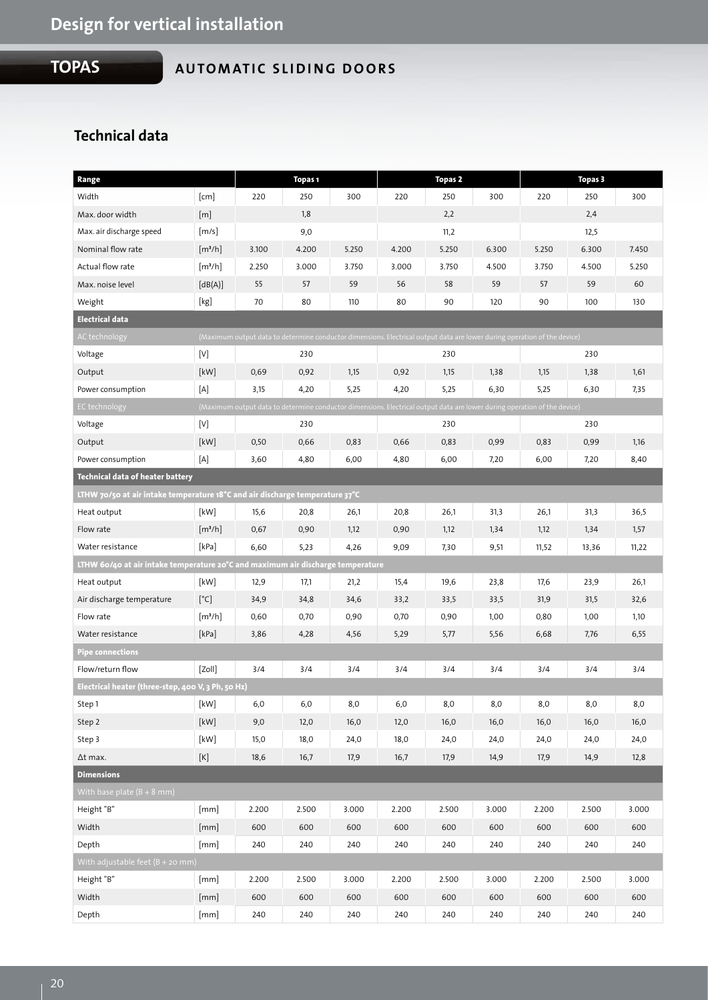## **TOPAS**

## **AUTOMATIC SLIDING DOORS**

## **Technical data**

| Range                                                                                                                                            |                                                                                                                                                                                                                      | Topas <sub>1</sub>                                                                                                       |       |       | <b>Topas 2</b> |       |       | <b>Topas 3</b> |       |       |  |
|--------------------------------------------------------------------------------------------------------------------------------------------------|----------------------------------------------------------------------------------------------------------------------------------------------------------------------------------------------------------------------|--------------------------------------------------------------------------------------------------------------------------|-------|-------|----------------|-------|-------|----------------|-------|-------|--|
| Width                                                                                                                                            | [cm]                                                                                                                                                                                                                 | 220                                                                                                                      | 250   | 300   | 220            | 250   | 300   | 220            | 250   | 300   |  |
| Max. door width                                                                                                                                  | [m]                                                                                                                                                                                                                  |                                                                                                                          | 1,8   |       |                | 2,2   |       |                | 2,4   |       |  |
| Max. air discharge speed                                                                                                                         | [m/s]                                                                                                                                                                                                                |                                                                                                                          | 9,0   |       |                | 11,2  |       |                | 12,5  |       |  |
| Nominal flow rate                                                                                                                                | [m <sup>3</sup> /h]                                                                                                                                                                                                  | 3.100                                                                                                                    | 4.200 | 5.250 | 4.200          | 5.250 | 6.300 | 5.250          | 6.300 | 7.450 |  |
| Actual flow rate                                                                                                                                 | $\left[\frac{m^3}{h}\right]$                                                                                                                                                                                         | 2.250                                                                                                                    | 3.000 | 3.750 | 3.000          | 3.750 | 4.500 | 3.750          | 4.500 | 5.250 |  |
| Max. noise level                                                                                                                                 | [dB(A)]                                                                                                                                                                                                              | 55                                                                                                                       | 57    | 59    | 56             | 58    | 59    | 57             | 59    | 60    |  |
| Weight                                                                                                                                           | [kg]                                                                                                                                                                                                                 | 70                                                                                                                       | 80    | 110   | 80             | 90    | 120   | 90             | 100   | 130   |  |
| <b>Electrical data</b>                                                                                                                           |                                                                                                                                                                                                                      |                                                                                                                          |       |       |                |       |       |                |       |       |  |
| AC technology                                                                                                                                    |                                                                                                                                                                                                                      | (Maximum output data to determine conductor dimensions. Electrical output data are lower during operation of the device) |       |       |                |       |       |                |       |       |  |
| Voltage                                                                                                                                          | [V]                                                                                                                                                                                                                  |                                                                                                                          | 230   |       |                | 230   |       |                | 230   |       |  |
| Output                                                                                                                                           | [kW]                                                                                                                                                                                                                 | 0,69                                                                                                                     | 0,92  | 1,15  | 0,92           | 1,15  | 1,38  | 1,15           | 1,38  | 1,61  |  |
| Power consumption                                                                                                                                | [A]                                                                                                                                                                                                                  | 3,15                                                                                                                     | 4,20  | 5,25  | 4,20           | 5,25  | 6,30  | 5,25           | 6,30  | 7,35  |  |
| (Maximum output data to determine conductor dimensions. Electrical output data are lower during operation of the device)<br><b>EC</b> technology |                                                                                                                                                                                                                      |                                                                                                                          |       |       |                |       |       |                |       |       |  |
| Voltage                                                                                                                                          | $[V] % \begin{center} % \includegraphics[width=\linewidth]{imagesSupplemental_3.png} % \end{center} % \caption { % Our method is used for the method. % The method is used in the text. % } % \label{fig:example} %$ |                                                                                                                          | 230   |       |                | 230   |       |                | 230   |       |  |
| Output                                                                                                                                           | [kW]                                                                                                                                                                                                                 | 0,50                                                                                                                     | 0,66  | 0,83  | 0,66           | 0,83  | 0,99  | 0,83           | 0,99  | 1,16  |  |
| Power consumption                                                                                                                                | [A]                                                                                                                                                                                                                  | 3,60                                                                                                                     | 4,80  | 6,00  | 4,80           | 6,00  | 7,20  | 6,00           | 7,20  | 8,40  |  |
| <b>Technical data of heater battery</b>                                                                                                          |                                                                                                                                                                                                                      |                                                                                                                          |       |       |                |       |       |                |       |       |  |
| LTHW 70/50 at air intake temperature 18°C and air discharge temperature 37°C                                                                     |                                                                                                                                                                                                                      |                                                                                                                          |       |       |                |       |       |                |       |       |  |
| Heat output                                                                                                                                      | [kW]                                                                                                                                                                                                                 | 15,6                                                                                                                     | 20,8  | 26,1  | 20,8           | 26,1  | 31,3  | 26,1           | 31,3  | 36,5  |  |
| Flow rate                                                                                                                                        | [m <sup>3</sup> /h]                                                                                                                                                                                                  | 0,67                                                                                                                     | 0,90  | 1,12  | 0,90           | 1,12  | 1,34  | 1,12           | 1,34  | 1,57  |  |
| Water resistance                                                                                                                                 | [kPa]                                                                                                                                                                                                                | 6,60                                                                                                                     | 5,23  | 4,26  | 9,09           | 7,30  | 9,51  | 11,52          | 13,36 | 11,22 |  |
| LTHW 60/40 at air intake temperature 20°C and maximum air discharge temperature                                                                  |                                                                                                                                                                                                                      |                                                                                                                          |       |       |                |       |       |                |       |       |  |
| Heat output                                                                                                                                      | [kW]                                                                                                                                                                                                                 | 12,9                                                                                                                     | 17,1  | 21,2  | 15,4           | 19,6  | 23,8  | 17,6           | 23,9  | 26,1  |  |
| Air discharge temperature                                                                                                                        | $[^{\circ}C]$                                                                                                                                                                                                        | 34,9                                                                                                                     | 34,8  | 34,6  | 33,2           | 33,5  | 33,5  | 31,9           | 31,5  | 32,6  |  |
| Flow rate                                                                                                                                        | [m <sup>3</sup> /h]                                                                                                                                                                                                  | 0,60                                                                                                                     | 0,70  | 0,90  | 0,70           | 0,90  | 1,00  | 0,80           | 1,00  | 1,10  |  |
| Water resistance                                                                                                                                 | [kPa]                                                                                                                                                                                                                | 3,86                                                                                                                     | 4,28  | 4,56  | 5,29           | 5,77  | 5,56  | 6,68           | 7,76  | 6,55  |  |
| Pipe connections                                                                                                                                 |                                                                                                                                                                                                                      |                                                                                                                          |       |       |                |       |       |                |       |       |  |
| Flow/return flow                                                                                                                                 | [Zoll]                                                                                                                                                                                                               | 3/4                                                                                                                      | 3/4   | 3/4   | 3/4            | 3/4   | 3/4   | 3/4            | 3/4   | 3/4   |  |
| Electrical heater (three-step, 400 V, 3 Ph, 50 Hz)                                                                                               |                                                                                                                                                                                                                      |                                                                                                                          |       |       |                |       |       |                |       |       |  |
| Step 1                                                                                                                                           | $[kW]$                                                                                                                                                                                                               | 6,0                                                                                                                      | 6,0   | 8,0   | 6,0            | 8,0   | 8,0   | 8,0            | 8,0   | 8,0   |  |
| Step 2                                                                                                                                           | $[kW]$                                                                                                                                                                                                               | 9,0                                                                                                                      | 12,0  | 16,0  | 12,0           | 16,0  | 16,0  | 16,0           | 16,0  | 16,0  |  |
| Step 3                                                                                                                                           | [kW]                                                                                                                                                                                                                 | 15,0                                                                                                                     | 18,0  | 24,0  | 18,0           | 24,0  | 24,0  | 24,0           | 24,0  | 24,0  |  |
| ∆t max.                                                                                                                                          | $[\mathsf{K}]$                                                                                                                                                                                                       | 18,6                                                                                                                     | 16,7  | 17,9  | 16,7           | 17,9  | 14,9  | 17,9           | 14,9  | 12,8  |  |
| <b>Dimensions</b>                                                                                                                                |                                                                                                                                                                                                                      |                                                                                                                          |       |       |                |       |       |                |       |       |  |
| With base plate $(B + 8$ mm)                                                                                                                     |                                                                                                                                                                                                                      |                                                                                                                          |       |       |                |       |       |                |       |       |  |
| Height "B"                                                                                                                                       | [mm]                                                                                                                                                                                                                 | 2.200                                                                                                                    | 2.500 | 3.000 | 2.200          | 2.500 | 3.000 | 2.200          | 2.500 | 3.000 |  |
| Width                                                                                                                                            | [mm]                                                                                                                                                                                                                 | 600                                                                                                                      | 600   | 600   | 600            | 600   | 600   | 600            | 600   | 600   |  |
| Depth                                                                                                                                            | [mm]                                                                                                                                                                                                                 | 240                                                                                                                      | 240   | 240   | 240            | 240   | 240   | 240            | 240   | 240   |  |
| With adjustable feet $(B + 20$ mm)                                                                                                               |                                                                                                                                                                                                                      |                                                                                                                          |       |       |                |       |       |                |       |       |  |
| Height "B"                                                                                                                                       | [mm]                                                                                                                                                                                                                 | 2.200                                                                                                                    | 2.500 | 3.000 | 2.200          | 2.500 | 3.000 | 2.200          | 2.500 | 3.000 |  |
| Width                                                                                                                                            | [mm]                                                                                                                                                                                                                 | 600                                                                                                                      | 600   | 600   | 600            | 600   | 600   | 600            | 600   | 600   |  |
| Depth                                                                                                                                            | [mm]                                                                                                                                                                                                                 | 240                                                                                                                      | 240   | 240   | 240            | 240   | 240   | 240            | 240   | 240   |  |